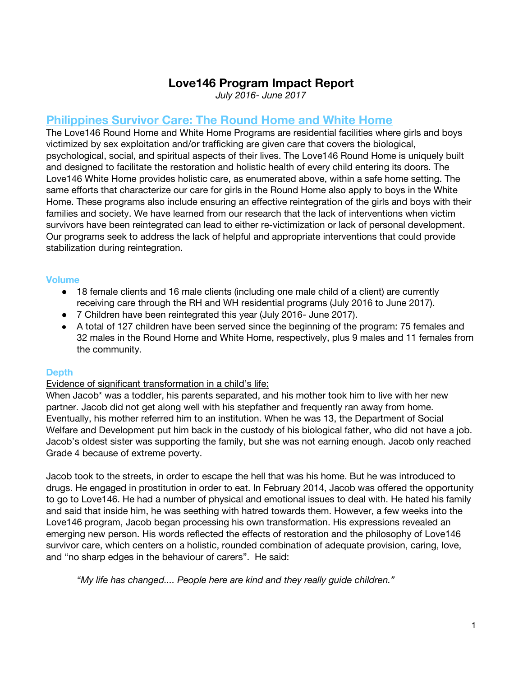# **Love146 Program Impact Report**

*July 2016- June 2017*

# **Philippines Survivor Care: The Round Home and White Home**

The Love146 Round Home and White Home Programs are residential facilities where girls and boys victimized by sex exploitation and/or trafficking are given care that covers the biological, psychological, social, and spiritual aspects of their lives. The Love146 Round Home is uniquely built and designed to facilitate the restoration and holistic health of every child entering its doors. The Love146 White Home provides holistic care, as enumerated above, within a safe home setting. The same efforts that characterize our care for girls in the Round Home also apply to boys in the White Home. These programs also include ensuring an effective reintegration of the girls and boys with their families and society. We have learned from our research that the lack of interventions when victim survivors have been reintegrated can lead to either re-victimization or lack of personal development. Our programs seek to address the lack of helpful and appropriate interventions that could provide stabilization during reintegration.

## **Volume**

- 18 female clients and 16 male clients (including one male child of a client) are currently receiving care through the RH and WH residential programs (July 2016 to June 2017).
- 7 Children have been reintegrated this year (July 2016- June 2017).
- A total of 127 children have been served since the beginning of the program: 75 females and 32 males in the Round Home and White Home, respectively, plus 9 males and 11 females from the community.

### **Depth**

### Evidence of significant transformation in a child's life:

When Jacob<sup>\*</sup> was a toddler, his parents separated, and his mother took him to live with her new partner. Jacob did not get along well with his stepfather and frequently ran away from home. Eventually, his mother referred him to an institution. When he was 13, the Department of Social Welfare and Development put him back in the custody of his biological father, who did not have a job. Jacob's oldest sister was supporting the family, but she was not earning enough. Jacob only reached Grade 4 because of extreme poverty.

Jacob took to the streets, in order to escape the hell that was his home. But he was introduced to drugs. He engaged in prostitution in order to eat. In February 2014, Jacob was offered the opportunity to go to Love146. He had a number of physical and emotional issues to deal with. He hated his family and said that inside him, he was seething with hatred towards them. However, a few weeks into the Love146 program, Jacob began processing his own transformation. His expressions revealed an emerging new person. His words reflected the effects of restoration and the philosophy of Love146 survivor care, which centers on a holistic, rounded combination of adequate provision, caring, love, and "no sharp edges in the behaviour of carers". He said:

*"My life has changed.... People here are kind and they really guide children."*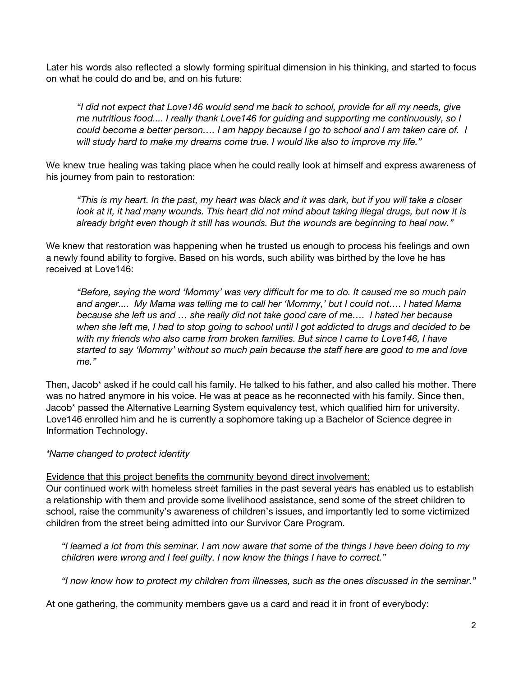Later his words also reflected a slowly forming spiritual dimension in his thinking, and started to focus on what he could do and be, and on his future:

*"I did not expect that Love146 would send me back to school, provide for all my needs, give me nutritious food.... I really thank Love146 for guiding and supporting me continuously, so I* could become a better person.... I am happy because I go to school and I am taken care of. I *will study hard to make my dreams come true. I would like also to improve my life."*

We knew true healing was taking place when he could really look at himself and express awareness of his journey from pain to restoration:

"This is my heart. In the past, my heart was black and it was dark, but if you will take a closer look at it, it had many wounds. This heart did not mind about taking illegal drugs, but now it is *already bright even though it still has wounds. But the wounds are beginning to heal now."*

We knew that restoration was happening when he trusted us enough to process his feelings and own a newly found ability to forgive. Based on his words, such ability was birthed by the love he has received at Love146:

*"Before, saying the word 'Mommy' was very difficult for me to do. It caused me so much pain and anger.... My Mama was telling me to call her 'Mommy,' but I could not…. I hated Mama because she left us and … she really did not take good care of me…. I hated her because* when she left me, I had to stop going to school until I got addicted to drugs and decided to be *with my friends who also came from broken families. But since I came to Love146, I have started to say 'Mommy' without so much pain because the staff here are good to me and love me."*

Then, Jacob\* asked if he could call his family. He talked to his father, and also called his mother. There was no hatred anymore in his voice. He was at peace as he reconnected with his family. Since then, Jacob\* passed the Alternative Learning System equivalency test, which qualified him for university. Love146 enrolled him and he is currently a sophomore taking up a Bachelor of Science degree in Information Technology.

*\*Name changed to protect identity*

Evidence that this project benefits the community beyond direct involvement:

Our continued work with homeless street families in the past several years has enabled us to establish a relationship with them and provide some livelihood assistance, send some of the street children to school, raise the community's awareness of children's issues, and importantly led to some victimized children from the street being admitted into our Survivor Care Program.

"I learned a lot from this seminar. I am now aware that some of the things I have been doing to my *children were wrong and I feel guilty. I now know the things I have to correct."*

*"I now know how to protect my children from illnesses, such as the ones discussed in the seminar."*

At one gathering, the community members gave us a card and read it in front of everybody: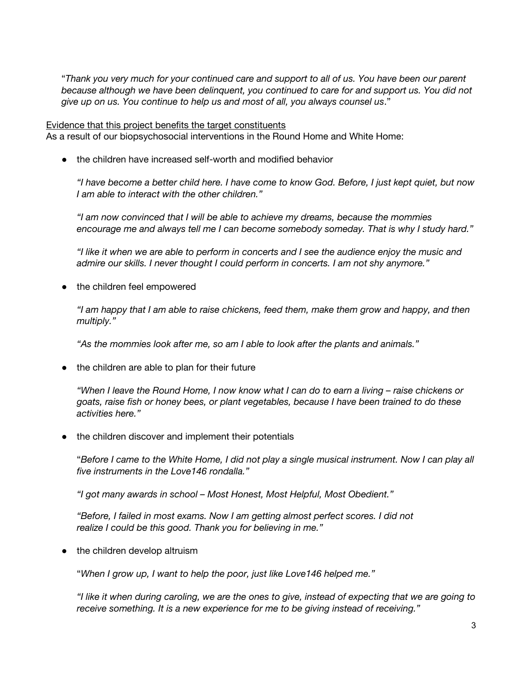"Thank you very much for your continued care and support to all of us. You have been our parent *because although we have been delinquent, you continued to care for and support us. You did not give up on us. You continue to help us and most of all, you always counsel us*."

Evidence that this project benefits the target constituents As a result of our biopsychosocial interventions in the Round Home and White Home:

● the children have increased self-worth and modified behavior

"I have become a better child here. I have come to know God. Before, I just kept quiet, but now *I am able to interact with the other children."*

*"I am now convinced that I will be able to achieve my dreams, because the mommies encourage me and always tell me I can become somebody someday. That is why I study hard."*

"I like it when we are able to perform in concerts and I see the audience enjoy the music and *admire our skills. I never thought I could perform in concerts. I am not shy anymore."*

• the children feel empowered

*"I am happy that I am able to raise chickens, feed them, make them grow and happy, and then multiply."*

*"As the mommies look after me, so am I able to look after the plants and animals."*

*●* the children are able to plan for their future

"When I leave the Round Home, I now know what I can do to earn a living – raise chickens or *goats, raise fish or honey bees, or plant vegetables, because I have been trained to do these activities here."*

● the children discover and implement their potentials

"Before I came to the White Home, I did not play a single musical instrument. Now I can play all *five instruments in the Love146 rondalla."*

*"I got many awards in school – Most Honest, Most Helpful, Most Obedient."*

*"Before, I failed in most exams. Now I am getting almost perfect scores. I did not realize I could be this good. Thank you for believing in me."*

• the children develop altruism

"*When I grow up, I want to help the poor, just like Love146 helped me."*

"I like it when during caroling, we are the ones to give, instead of expecting that we are going to *receive something. It is a new experience for me to be giving instead of receiving."*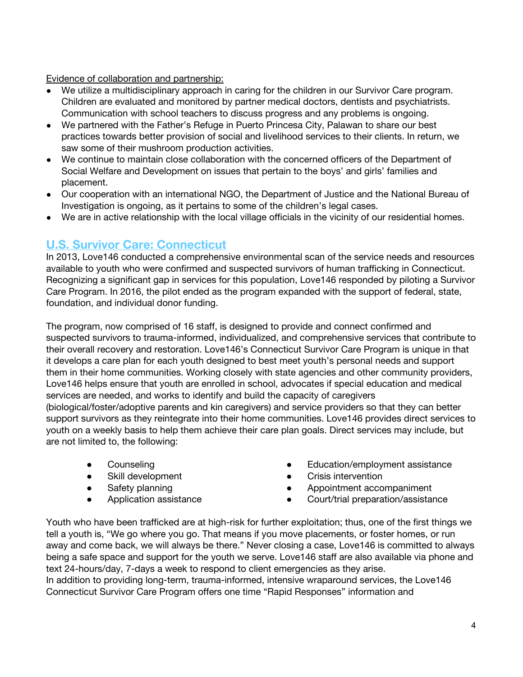Evidence of collaboration and partnership:

- We utilize a multidisciplinary approach in caring for the children in our Survivor Care program. Children are evaluated and monitored by partner medical doctors, dentists and psychiatrists. Communication with school teachers to discuss progress and any problems is ongoing.
- We partnered with the Father's Refuge in Puerto Princesa City, Palawan to share our best practices towards better provision of social and livelihood services to their clients. In return, we saw some of their mushroom production activities.
- We continue to maintain close collaboration with the concerned officers of the Department of Social Welfare and Development on issues that pertain to the boys' and girls' families and placement.
- Our cooperation with an international NGO, the Department of Justice and the National Bureau of Investigation is ongoing, as it pertains to some of the children's legal cases.
- We are in active relationship with the local village officials in the vicinity of our residential homes.

## **U.S. Survivor Care: Connecticut**

In 2013, Love146 conducted a comprehensive environmental scan of the service needs and resources available to youth who were confirmed and suspected survivors of human trafficking in Connecticut. Recognizing a significant gap in services for this population, Love146 responded by piloting a Survivor Care Program. In 2016, the pilot ended as the program expanded with the support of federal, state, foundation, and individual donor funding.

The program, now comprised of 16 staff, is designed to provide and connect confirmed and suspected survivors to trauma-informed, individualized, and comprehensive services that contribute to their overall recovery and restoration. Love146's Connecticut Survivor Care Program is unique in that it develops a care plan for each youth designed to best meet youth's personal needs and support them in their home communities. Working closely with state agencies and other community providers, Love146 helps ensure that youth are enrolled in school, advocates if special education and medical services are needed, and works to identify and build the capacity of caregivers (biological/foster/adoptive parents and kin caregivers) and service providers so that they can better support survivors as they reintegrate into their home communities. Love146 provides direct services to youth on a weekly basis to help them achieve their care plan goals. Direct services may include, but are not limited to, the following:

- **•** Counseling
- Skill development
- Safety planning
- Application assistance
- Education/employment assistance
- Crisis intervention
- Appointment accompaniment
- Court/trial preparation/assistance

Youth who have been trafficked are at high-risk for further exploitation; thus, one of the first things we tell a youth is, "We go where you go. That means if you move placements, or foster homes, or run away and come back, we will always be there." Never closing a case, Love146 is committed to always being a safe space and support for the youth we serve. Love146 staff are also available via phone and text 24-hours/day, 7-days a week to respond to client emergencies as they arise.

In addition to providing long-term, trauma-informed, intensive wraparound services, the Love146 Connecticut Survivor Care Program offers one time "Rapid Responses" information and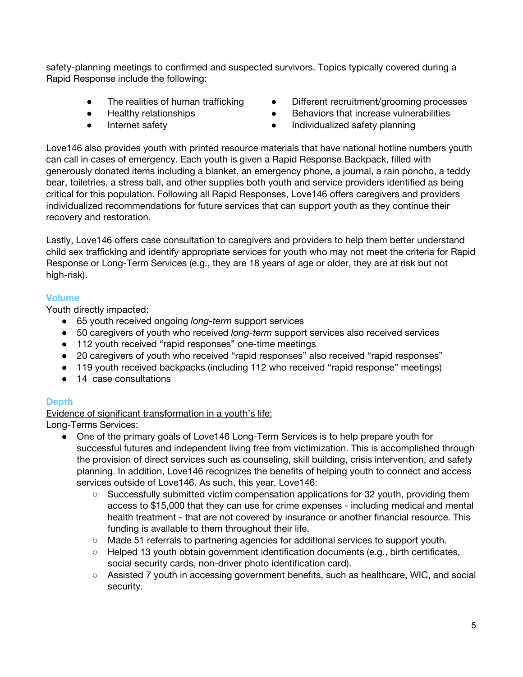safety-planning meetings to confirmed and suspected survivors. Topics typically covered during a Rapid Response include the following:

- The realities of human trafficking
- Healthy relationships
- Internet safety
- Different recruitment/grooming processes
- Behaviors that increase vulnerabilities
- Individualized safety planning

Love146 also provides youth with printed resource materials that have national hotline numbers youth can call in cases of emergency. Each youth is given a Rapid Response Backpack, filled with generously donated items including a blanket, an emergency phone, a journal, a rain poncho, a teddy bear, toiletries, a stress ball, and other supplies both youth and service providers identified as being critical for this population. Following all Rapid Responses, Love146 offers caregivers and providers individualized recommendations for future services that can support youth as they continue their recovery and restoration.

Lastly, Love146 offers case consultation to caregivers and providers to help them better understand child sex trafficking and identify appropriate services for youth who may not meet the criteria for Rapid Response or Long-Term Services (e.g., they are 18 years of age or older, they are at risk but not high-risk).

## **Volume**

Youth directly impacted:

- 65 youth received ongoing *long-term* support services
- 50 caregivers of youth who received *long-term* support services also received services
- 112 youth received "rapid responses" one-time meetings
- 20 caregivers of youth who received "rapid responses" also received "rapid responses"
- 119 youth received backpacks (including 112 who received "rapid response" meetings)
- 14 case consultations

## **Depth**

Evidence of significant transformation in a youth's life:

Long-Terms Services:

- One of the primary goals of Love146 Long-Term Services is to help prepare youth for successful futures and independent living free from victimization. This is accomplished through the provision of direct services such as counseling, skill building, crisis intervention, and safety planning. In addition, Love146 recognizes the benefits of helping youth to connect and access services outside of Love146. As such, this year, Love146:
	- Successfully submitted victim compensation applications for 32 youth, providing them access to \$15,000 that they can use for crime expenses - including medical and mental health treatment - that are not covered by insurance or another financial resource. This funding is available to them throughout their life.
	- Made 51 referrals to partnering agencies for additional services to support youth.
	- $\circ$  Helped 13 youth obtain government identification documents (e.g., birth certificates, social security cards, non-driver photo identification card).
	- Assisted 7 youth in accessing government benefits, such as healthcare, WIC, and social security.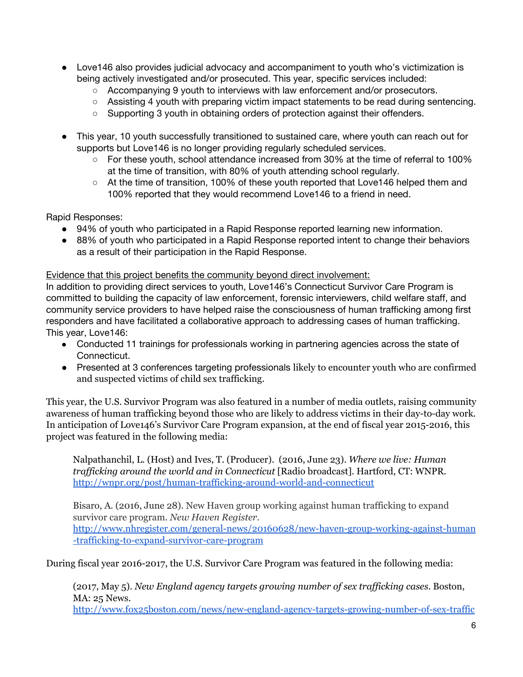- Love146 also provides judicial advocacy and accompaniment to youth who's victimization is being actively investigated and/or prosecuted. This year, specific services included:
	- Accompanying 9 youth to interviews with law enforcement and/or prosecutors.
	- Assisting 4 youth with preparing victim impact statements to be read during sentencing.
	- Supporting 3 youth in obtaining orders of protection against their offenders.
- This year, 10 youth successfully transitioned to sustained care, where youth can reach out for supports but Love146 is no longer providing regularly scheduled services.
	- For these youth, school attendance increased from 30% at the time of referral to 100% at the time of transition, with 80% of youth attending school regularly.
	- At the time of transition, 100% of these youth reported that Love146 helped them and 100% reported that they would recommend Love146 to a friend in need.

Rapid Responses:

- 94% of youth who participated in a Rapid Response reported learning new information.
- 88% of youth who participated in a Rapid Response reported intent to change their behaviors as a result of their participation in the Rapid Response.

### Evidence that this project benefits the community beyond direct involvement:

In addition to providing direct services to youth, Love146's Connecticut Survivor Care Program is committed to building the capacity of law enforcement, forensic interviewers, child welfare staff, and community service providers to have helped raise the consciousness of human trafficking among first responders and have facilitated a collaborative approach to addressing cases of human trafficking. This year, Love146:

- Conducted 11 trainings for professionals working in partnering agencies across the state of Connecticut.
- Presented at 3 conferences targeting professionals likely to encounter youth who are confirmed and suspected victims of child sex trafficking.

This year, the U.S. Survivor Program was also featured in a number of media outlets, raising community awareness of human trafficking beyond those who are likely to address victims in their day-to-day work. In anticipation of Love146's Survivor Care Program expansion, at the end of fiscal year 2015-2016, this project was featured in the following media:

Nalpathanchil, L. (Host) and Ives, T. (Producer). (2016, June 23). *Where we live: Human traf icking around the world and in Connecticut* [Radio broadcast]*.* Hartford, CT: WNPR. <http://wnpr.org/post/human-trafficking-around-world-and-connecticut>

Bisaro, A. (2016, June 28). New Haven group working against human trafficking to expand survivor care program. *New Haven Register.* [http://www.nhregister.com/general-news/20160628/new-haven-group-working-against-human](http://www.nhregister.com/general-news/20160628/new-haven-group-working-against-human-trafficking-to-expand-survivor-care-program) [-trafficking-to-expand-survivor-care-program](http://www.nhregister.com/general-news/20160628/new-haven-group-working-against-human-trafficking-to-expand-survivor-care-program)

During fiscal year 2016-2017, the U.S. Survivor Care Program was featured in the following media:

(2017, May 5). *New England agency targets growing number of sex traf icking cases.* Boston, MA: 25 News[.](http://www.fox25boston.com/news/new-england-agency-targets-growing-number-of-sex-trafficking-cases/519828630)

[http://www.fox25boston.com/news/new-england-agency-targets-growing-number-of-sex-traffic](http://www.fox25boston.com/news/new-england-agency-targets-growing-number-of-sex-trafficking-cases/519828630)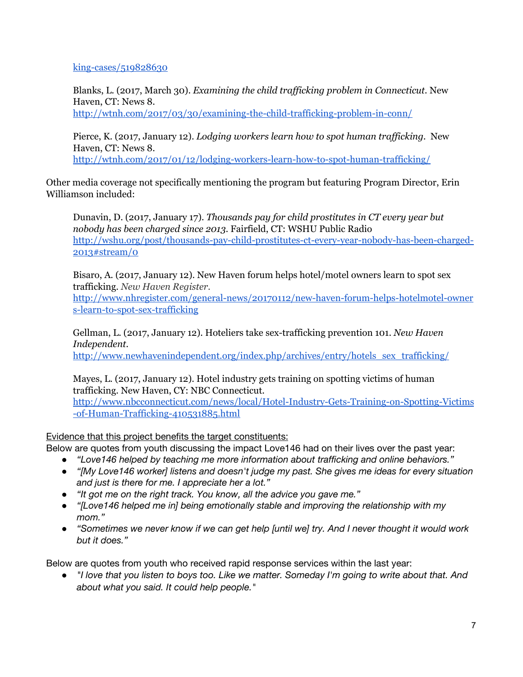[king-cases/519828630](http://www.fox25boston.com/news/new-england-agency-targets-growing-number-of-sex-trafficking-cases/519828630)

Blanks, L. (2017, March 30). *Examining the child traf icking problem in Connecticut.* New Haven, CT: News 8.

<http://wtnh.com/2017/03/30/examining-the-child-trafficking-problem-in-conn/>

Pierce, K. (2017, January 12). *Lodging workers learn how to spot human trafficking.* New Haven, CT: News 8.

<http://wtnh.com/2017/01/12/lodging-workers-learn-how-to-spot-human-trafficking/>

Other media coverage not specifically mentioning the program but featuring Program Director, Erin Williamson included:

Dunavin, D. (2017, January 17). *Thousands pay for child prostitutes in CT every year but nobody has been charged since 2013.* Fairfield, CT: WSHU Public Radio [http://wshu.org/post/thousands-pay-child-prostitutes-ct-every-year-nobody-has-been-charged-](http://wshu.org/post/thousands-pay-child-prostitutes-ct-every-year-nobody-has-been-charged-2013#stream/0)[2013#stream/0](http://wshu.org/post/thousands-pay-child-prostitutes-ct-every-year-nobody-has-been-charged-2013#stream/0)

Bisaro, A. (2017, January 12). New Haven forum helps hotel/motel owners learn to spot sex trafficking. *New Haven Register.*

[http://www.nhregister.com/general-news/20170112/new-haven-forum-helps-hotelmotel-owner](http://www.nhregister.com/general-news/20170112/new-haven-forum-helps-hotelmotel-owners-learn-to-spot-sex-trafficking) [s-learn-to-spot-sex-trafficking](http://www.nhregister.com/general-news/20170112/new-haven-forum-helps-hotelmotel-owners-learn-to-spot-sex-trafficking)

Gellman, L. (2017, January 12). Hoteliers take sex-trafficking prevention 101. *New Haven Independent.*

[http://www.newhavenindependent.org/index.php/archives/entry/hotels\\_sex\\_trafficking/](http://www.newhavenindependent.org/index.php/archives/entry/hotels_sex_trafficking/)

Mayes, L. (2017, January 12). Hotel industry gets training on spotting victims of human trafficking. New Haven, CY: NBC Connecticut. [http://www.nbcconnecticut.com/news/local/Hotel-Industry-Gets-Training-on-Spotting-Victims](http://www.nbcconnecticut.com/news/local/Hotel-Industry-Gets-Training-on-Spotting-Victims-of-Human-Trafficking-410531885.html)

[-of-Human-Trafficking-410531885.html](http://www.nbcconnecticut.com/news/local/Hotel-Industry-Gets-Training-on-Spotting-Victims-of-Human-Trafficking-410531885.html)

Evidence that this project benefits the target constituents:

Below are quotes from youth discussing the impact Love146 had on their lives over the past year:

- *● "Love146 helped by teaching me more information about trafficking and online behaviors."*
- *● "[My Love146 worker] listens and doesn't judge my past. She gives me ideas for every situation and just is there for me. I appreciate her a lot."*
- *● "It got me on the right track. You know, all the advice you gave me."*
- *● "[Love146 helped me in] being emotionally stable and improving the relationship with my mom."*
- "Sometimes we never know if we can get help [until we] try. And I never thought it would work *but it does."*

Below are quotes from youth who received rapid response services within the last year:

• "I love that you listen to boys too. Like we matter. Someday I'm going to write about that. And *about what you said. It could help people."*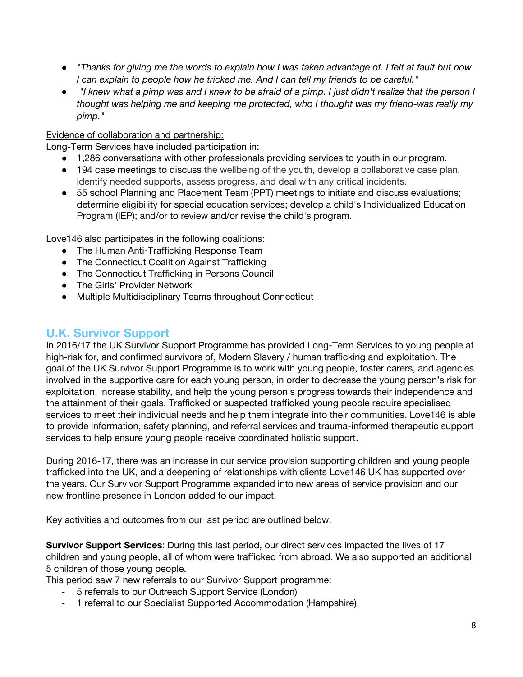- "Thanks for giving me the words to explain how I was taken advantage of. I felt at fault but now *I can explain to people how he tricked me. And I can tell my friends to be careful."*
- "I knew what a pimp was and I knew to be afraid of a pimp. I just didn't realize that the person I *thought was helping me and keeping me protected, who I thought was my friend-was really my pimp."*

## Evidence of collaboration and partnership:

Long-Term Services have included participation in:

- 1,286 conversations with other professionals providing services to youth in our program.
- 194 case meetings to discuss the wellbeing of the youth, develop a collaborative case plan, identify needed supports, assess progress, and deal with any critical incidents.
- 55 school Planning and Placement Team (PPT) meetings to initiate and discuss evaluations; determine eligibility for special education services; develop a child's Individualized Education Program (IEP); and/or to review and/or revise the child's program.

Love146 also participates in the following coalitions:

- The Human Anti-Trafficking Response Team
- The Connecticut Coalition Against Trafficking
- The Connecticut Trafficking in Persons Council
- The Girls' Provider Network
- Multiple Multidisciplinary Teams throughout Connecticut

# **U.K. Survivor Support**

In 2016/17 the UK Survivor Support Programme has provided Long-Term Services to young people at high-risk for, and confirmed survivors of, Modern Slavery / human trafficking and exploitation. The goal of the UK Survivor Support Programme is to work with young people, foster carers, and agencies involved in the supportive care for each young person, in order to decrease the young person's risk for exploitation, increase stability, and help the young person's progress towards their independence and the attainment of their goals. Trafficked or suspected trafficked young people require specialised services to meet their individual needs and help them integrate into their communities. Love146 is able to provide information, safety planning, and referral services and trauma-informed therapeutic support services to help ensure young people receive coordinated holistic support.

During 2016-17, there was an increase in our service provision supporting children and young people trafficked into the UK, and a deepening of relationships with clients Love146 UK has supported over the years. Our Survivor Support Programme expanded into new areas of service provision and our new frontline presence in London added to our impact.

Key activities and outcomes from our last period are outlined below.

**Survivor Support Services**: During this last period, our direct services impacted the lives of 17 children and young people, all of whom were trafficked from abroad. We also supported an additional 5 children of those young people.

This period saw 7 new referrals to our Survivor Support programme:

- 5 referrals to our Outreach Support Service (London)
- 1 referral to our Specialist Supported Accommodation (Hampshire)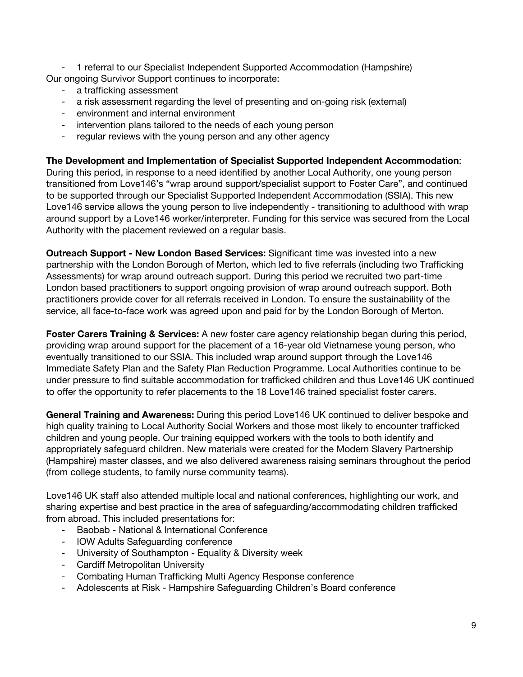- 1 referral to our Specialist Independent Supported Accommodation (Hampshire) Our ongoing Survivor Support continues to incorporate:

- a trafficking assessment
- a risk assessment regarding the level of presenting and on-going risk (external)
- environment and internal environment
- intervention plans tailored to the needs of each young person
- regular reviews with the young person and any other agency

**The Development and Implementation of Specialist Supported Independent Accommodation**:

During this period, in response to a need identified by another Local Authority, one young person transitioned from Love146's "wrap around support/specialist support to Foster Care", and continued to be supported through our Specialist Supported Independent Accommodation (SSIA). This new Love146 service allows the young person to live independently - transitioning to adulthood with wrap around support by a Love146 worker/interpreter. Funding for this service was secured from the Local Authority with the placement reviewed on a regular basis.

**Outreach Support - New London Based Services:** Significant time was invested into a new partnership with the London Borough of Merton, which led to five referrals (including two Trafficking Assessments) for wrap around outreach support. During this period we recruited two part-time London based practitioners to support ongoing provision of wrap around outreach support. Both practitioners provide cover for all referrals received in London. To ensure the sustainability of the service, all face-to-face work was agreed upon and paid for by the London Borough of Merton.

**Foster Carers Training & Services:** A new foster care agency relationship began during this period, providing wrap around support for the placement of a 16-year old Vietnamese young person, who eventually transitioned to our SSIA. This included wrap around support through the Love146 Immediate Safety Plan and the Safety Plan Reduction Programme. Local Authorities continue to be under pressure to find suitable accommodation for trafficked children and thus Love146 UK continued to offer the opportunity to refer placements to the 18 Love146 trained specialist foster carers.

**General Training and Awareness:** During this period Love146 UK continued to deliver bespoke and high quality training to Local Authority Social Workers and those most likely to encounter trafficked children and young people. Our training equipped workers with the tools to both identify and appropriately safeguard children. New materials were created for the Modern Slavery Partnership (Hampshire) master classes, and we also delivered awareness raising seminars throughout the period (from college students, to family nurse community teams).

Love146 UK staff also attended multiple local and national conferences, highlighting our work, and sharing expertise and best practice in the area of safeguarding/accommodating children trafficked from abroad. This included presentations for:

- Baobab National & International Conference
- IOW Adults Safeguarding conference
- University of Southampton Equality & Diversity week
- Cardiff Metropolitan University
- Combating Human Trafficking Multi Agency Response conference
- Adolescents at Risk Hampshire Safeguarding Children's Board conference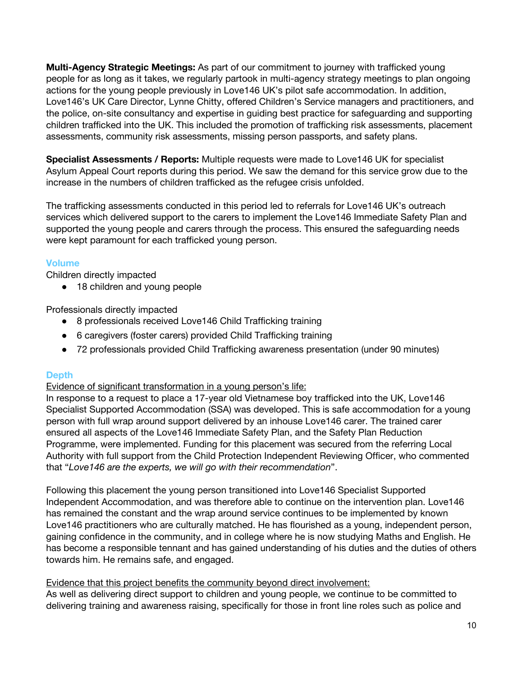**Multi-Agency Strategic Meetings:** As part of our commitment to journey with trafficked young people for as long as it takes, we regularly partook in multi-agency strategy meetings to plan ongoing actions for the young people previously in Love146 UK's pilot safe accommodation. In addition, Love146's UK Care Director, Lynne Chitty, offered Children's Service managers and practitioners, and the police, on-site consultancy and expertise in guiding best practice for safeguarding and supporting children trafficked into the UK. This included the promotion of trafficking risk assessments, placement assessments, community risk assessments, missing person passports, and safety plans.

**Specialist Assessments / Reports:** Multiple requests were made to Love146 UK for specialist Asylum Appeal Court reports during this period. We saw the demand for this service grow due to the increase in the numbers of children trafficked as the refugee crisis unfolded.

The trafficking assessments conducted in this period led to referrals for Love146 UK's outreach services which delivered support to the carers to implement the Love146 Immediate Safety Plan and supported the young people and carers through the process. This ensured the safeguarding needs were kept paramount for each trafficked young person.

## **Volume**

Children directly impacted

● 18 children and young people

Professionals directly impacted

- 8 professionals received Love146 Child Trafficking training
- 6 caregivers (foster carers) provided Child Trafficking training
- 72 professionals provided Child Trafficking awareness presentation (under 90 minutes)

## **Depth**

Evidence of significant transformation in a young person's life:

In response to a request to place a 17-year old Vietnamese boy trafficked into the UK, Love146 Specialist Supported Accommodation (SSA) was developed. This is safe accommodation for a young person with full wrap around support delivered by an inhouse Love146 carer. The trained carer ensured all aspects of the Love146 Immediate Safety Plan, and the Safety Plan Reduction Programme, were implemented. Funding for this placement was secured from the referring Local Authority with full support from the Child Protection Independent Reviewing Officer, who commented that "*Love146 are the experts, we will go with their recommendation*".

Following this placement the young person transitioned into Love146 Specialist Supported Independent Accommodation, and was therefore able to continue on the intervention plan. Love146 has remained the constant and the wrap around service continues to be implemented by known Love146 practitioners who are culturally matched. He has flourished as a young, independent person, gaining confidence in the community, and in college where he is now studying Maths and English. He has become a responsible tennant and has gained understanding of his duties and the duties of others towards him. He remains safe, and engaged.

### Evidence that this project benefits the community beyond direct involvement:

As well as delivering direct support to children and young people, we continue to be committed to delivering training and awareness raising, specifically for those in front line roles such as police and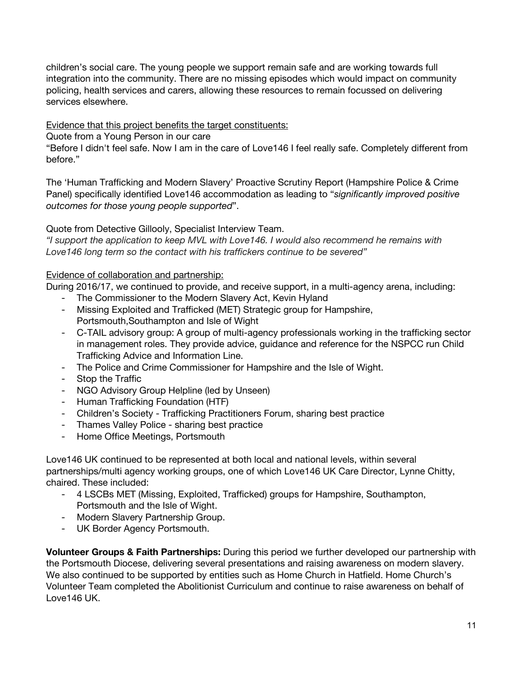children's social care. The young people we support remain safe and are working towards full integration into the community. There are no missing episodes which would impact on community policing, health services and carers, allowing these resources to remain focussed on delivering services elsewhere.

Evidence that this project benefits the target constituents:

Quote from a Young Person in our care

"Before I didn't feel safe. Now I am in the care of Love146 I feel really safe. Completely different from before."

The 'Human Trafficking and Modern Slavery' Proactive Scrutiny Report (Hampshire Police & Crime Panel) specifically identified Love146 accommodation as leading to "*significantly improved positive outcomes for those young people supported*".

Quote from Detective Gillooly, Specialist Interview Team.

*"I support the application to keep MVL with Love146. I would also recommend he remains with Love146 long term so the contact with his traffickers continue to be severed"*

## Evidence of collaboration and partnership:

During 2016/17, we continued to provide, and receive support, in a multi-agency arena, including:

- The Commissioner to the Modern Slavery Act, Kevin Hyland
- Missing Exploited and Trafficked (MET) Strategic group for Hampshire, Portsmouth,Southampton and Isle of Wight
- C-TAIL advisory group: A group of multi-agency professionals working in the trafficking sector in management roles. They provide advice, guidance and reference for the NSPCC run Child Trafficking Advice and Information Line.
- The Police and Crime Commissioner for Hampshire and the Isle of Wight.
- Stop the Traffic
- NGO Advisory Group Helpline (led by Unseen)
- Human Trafficking Foundation (HTF)
- Children's Society Trafficking Practitioners Forum, sharing best practice
- Thames Valley Police sharing best practice
- Home Office Meetings, Portsmouth

Love146 UK continued to be represented at both local and national levels, within several partnerships/multi agency working groups, one of which Love146 UK Care Director, Lynne Chitty, chaired. These included:

- 4 LSCBs MET (Missing, Exploited, Trafficked) groups for Hampshire, Southampton, Portsmouth and the Isle of Wight.
- Modern Slavery Partnership Group.
- UK Border Agency Portsmouth.

**Volunteer Groups & Faith Partnerships:** During this period we further developed our partnership with the Portsmouth Diocese, delivering several presentations and raising awareness on modern slavery. We also continued to be supported by entities such as Home Church in Hatfield. Home Church's Volunteer Team completed the Abolitionist Curriculum and continue to raise awareness on behalf of Love146 UK.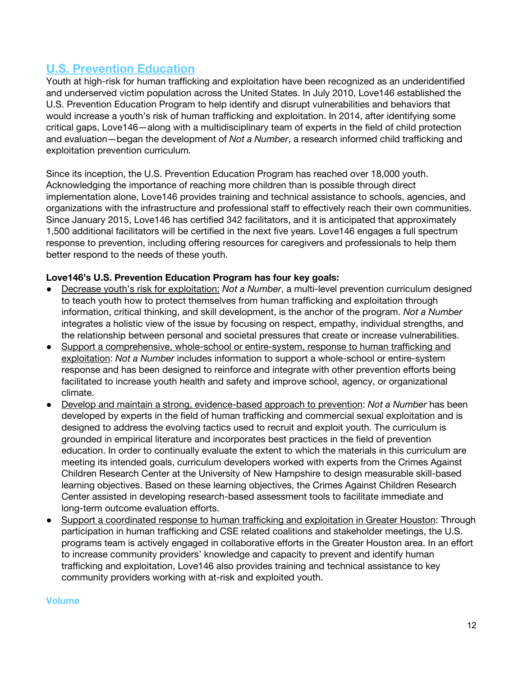# **U.S. Prevention Education**

Youth at high-risk for human trafficking and exploitation have been recognized as an underidentified and underserved victim population across the United States. In July 2010, Love146 established the U.S. Prevention Education Program to help identify and disrupt vulnerabilities and behaviors that would increase a youth's risk of human trafficking and exploitation. In 2014, after identifying some critical gaps, Love146—along with a multidisciplinary team of experts in the field of child protection and evaluation—began the development of *Not a Number*, a research informed child trafficking and exploitation prevention curriculum*.*

Since its inception, the U.S. Prevention Education Program has reached over 18,000 youth. Acknowledging the importance of reaching more children than is possible through direct implementation alone, Love146 provides training and technical assistance to schools, agencies, and organizations with the infrastructure and professional staff to effectively reach their own communities. Since January 2015, Love146 has certified 342 facilitators, and it is anticipated that approximately 1,500 additional facilitators will be certified in the next five years. Love146 engages a full spectrum response to prevention, including offering resources for caregivers and professionals to help them better respond to the needs of these youth.

## **Love146's U.S. Prevention Education Program has four key goals:**

- Decrease youth's risk for exploitation: *Not a Number*, a multi-level prevention curriculum designed to teach youth how to protect themselves from human trafficking and exploitation through information, critical thinking, and skill development, is the anchor of the program. *Not a Number* integrates a holistic view of the issue by focusing on respect, empathy, individual strengths, and the relationship between personal and societal pressures that create or increase vulnerabilities.
- Support a comprehensive, whole-school or entire-system, response to human trafficking and exploitation: *Not a Number* includes information to support a whole-school or entire-system response and has been designed to reinforce and integrate with other prevention efforts being facilitated to increase youth health and safety and improve school, agency, or organizational climate.
- Develop and maintain a strong, evidence-based approach to prevention: *Not a Number* has been developed by experts in the field of human trafficking and commercial sexual exploitation and is designed to address the evolving tactics used to recruit and exploit youth. The curriculum is grounded in empirical literature and incorporates best practices in the field of prevention education. In order to continually evaluate the extent to which the materials in this curriculum are meeting its intended goals, curriculum developers worked with experts from the Crimes Against Children Research Center at the University of New Hampshire to design measurable skill-based learning objectives. Based on these learning objectives, the Crimes Against Children Research Center assisted in developing research-based assessment tools to facilitate immediate and long-term outcome evaluation efforts.
- Support a coordinated response to human trafficking and exploitation in Greater Houston: Through participation in human trafficking and CSE related coalitions and stakeholder meetings, the U.S. programs team is actively engaged in collaborative efforts in the Greater Houston area. In an effort to increase community providers' knowledge and capacity to prevent and identify human trafficking and exploitation, Love146 also provides training and technical assistance to key community providers working with at-risk and exploited youth.

#### **Volume**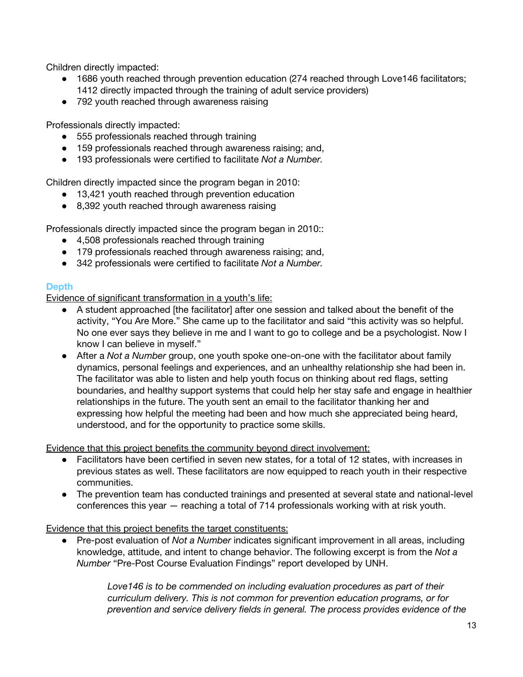Children directly impacted:

- 1686 youth reached through prevention education (274 reached through Love146 facilitators; 1412 directly impacted through the training of adult service providers)
- 792 youth reached through awareness raising

Professionals directly impacted:

- 555 professionals reached through training
- 159 professionals reached through awareness raising; and,
- 193 professionals were certified to facilitate *Not a Number.*

Children directly impacted since the program began in 2010:

- 13,421 youth reached through prevention education
- 8,392 youth reached through awareness raising

Professionals directly impacted since the program began in 2010::

- 4,508 professionals reached through training
- 179 professionals reached through awareness raising; and,
- 342 professionals were certified to facilitate *Not a Number.*

### **Depth**

Evidence of significant transformation in a youth's life:

- A student approached [the facilitator] after one session and talked about the benefit of the activity, "You Are More." She came up to the facilitator and said "this activity was so helpful. No one ever says they believe in me and I want to go to college and be a psychologist. Now I know I can believe in myself."
- After a *Not a Number* group, one youth spoke one-on-one with the facilitator about family dynamics, personal feelings and experiences, and an unhealthy relationship she had been in. The facilitator was able to listen and help youth focus on thinking about red flags, setting boundaries, and healthy support systems that could help her stay safe and engage in healthier relationships in the future. The youth sent an email to the facilitator thanking her and expressing how helpful the meeting had been and how much she appreciated being heard, understood, and for the opportunity to practice some skills.

Evidence that this project benefits the community beyond direct involvement:

- Facilitators have been certified in seven new states, for a total of 12 states, with increases in previous states as well. These facilitators are now equipped to reach youth in their respective communities.
- The prevention team has conducted trainings and presented at several state and national-level conferences this year — reaching a total of 714 professionals working with at risk youth.

Evidence that this project benefits the target constituents:

● Pre-post evaluation of *Not a Number* indicates significant improvement in all areas, including knowledge, attitude, and intent to change behavior. The following excerpt is from the *Not a Number* "Pre-Post Course Evaluation Findings" report developed by UNH.

> *Love146 is to be commended on including evaluation procedures as part of their curriculum delivery. This is not common for prevention education programs, or for prevention and service delivery fields in general. The process provides evidence of the*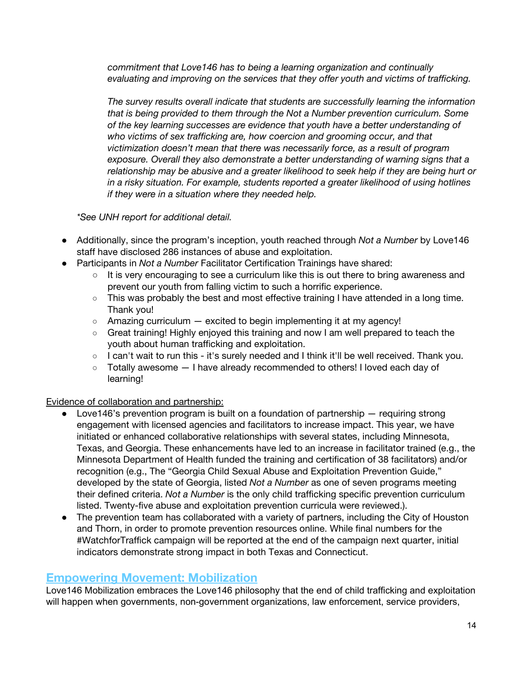*commitment that Love146 has to being a learning organization and continually evaluating and improving on the services that they offer youth and victims of trafficking.*

*The survey results overall indicate that students are successfully learning the information that is being provided to them through the Not a Number prevention curriculum. Some of the key learning successes are evidence that youth have a better understanding of who victims of sex trafficking are, how coercion and grooming occur, and that victimization doesn't mean that there was necessarily force, as a result of program exposure. Overall they also demonstrate a better understanding of warning signs that a relationship may be abusive and a greater likelihood to seek help if they are being hurt or in a risky situation. For example, students reported a greater likelihood of using hotlines if they were in a situation where they needed help.*

*\*See UNH report for additional detail.*

- Additionally, since the program's inception, youth reached through *Not a Number* by Love146 staff have disclosed 286 instances of abuse and exploitation.
- Participants in *Not a Number* Facilitator Certification Trainings have shared:
	- It is very encouraging to see a curriculum like this is out there to bring awareness and prevent our youth from falling victim to such a horrific experience.
	- This was probably the best and most effective training I have attended in a long time. Thank you!
	- $\circ$  Amazing curriculum  $-$  excited to begin implementing it at my agency!
	- Great training! Highly enjoyed this training and now I am well prepared to teach the youth about human trafficking and exploitation.
	- I can't wait to run this it's surely needed and I think it'll be well received. Thank you.
	- Totally awesome I have already recommended to others! I loved each day of learning!

## Evidence of collaboration and partnership:

- Love146's prevention program is built on a foundation of partnership  $-$  requiring strong engagement with licensed agencies and facilitators to increase impact. This year, we have initiated or enhanced collaborative relationships with several states, including Minnesota, Texas, and Georgia. These enhancements have led to an increase in facilitator trained (e.g., the Minnesota Department of Health funded the training and certification of 38 facilitators) and/or recognition (e.g., The "Georgia Child Sexual Abuse and Exploitation Prevention Guide," developed by the state of Georgia, listed *Not a Number* as one of seven programs meeting their defined criteria. *Not a Number* is the only child trafficking specific prevention curriculum listed. Twenty-five abuse and exploitation prevention curricula were reviewed.).
- The prevention team has collaborated with a variety of partners, including the City of Houston and Thorn, in order to promote prevention resources online. While final numbers for the #WatchforTraffick campaign will be reported at the end of the campaign next quarter, initial indicators demonstrate strong impact in both Texas and Connecticut.

## **Empowering Movement: Mobilization**

Love146 Mobilization embraces the Love146 philosophy that the end of child trafficking and exploitation will happen when governments, non-government organizations, law enforcement, service providers,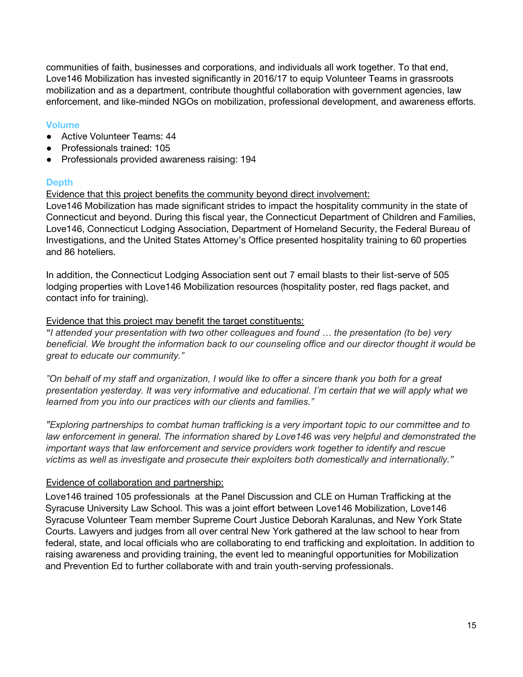communities of faith, businesses and corporations, and individuals all work together. To that end, Love146 Mobilization has invested significantly in 2016/17 to equip Volunteer Teams in grassroots mobilization and as a department, contribute thoughtful collaboration with government agencies, law enforcement, and like-minded NGOs on mobilization, professional development, and awareness efforts.

## **Volume**

- Active Volunteer Teams: 44
- Professionals trained: 105
- Professionals provided awareness raising: 194

## **Depth**

Evidence that this project benefits the community beyond direct involvement:

Love146 Mobilization has made significant strides to impact the hospitality community in the state of Connecticut and beyond. During this fiscal year, the Connecticut Department of Children and Families, Love146, Connecticut Lodging Association, Department of Homeland Security, the Federal Bureau of Investigations, and the United States Attorney's Office presented hospitality training to 60 properties and 86 hoteliers.

In addition, the Connecticut Lodging Association sent out 7 email blasts to their list-serve of 505 lodging properties with Love146 Mobilization resources (hospitality poster, red flags packet, and contact info for training).

### Evidence that this project may benefit the target constituents:

*"I attended your presentation with two other colleagues and found … the presentation (to be) very beneficial. We brought the information back to our counseling office and our director thought it would be great to educate our community."*

"On behalf of my staff and organization, I would like to offer a sincere thank you both for a great *presentation yesterday. It was very informative and educational. I'm certain that we will apply what we learned from you into our practices with our clients and families."*

*"Exploring partnerships to combat human trafficking is a very important topic to our committee and to law enforcement in general. The information shared by Love146 was very helpful and demonstrated the important ways that law enforcement and service providers work together to identify and rescue victims as well as investigate and prosecute their exploiters both domestically and internationally."*

### Evidence of collaboration and partnership:

Love146 trained 105 professionals at the Panel Discussion and CLE on Human Trafficking at the Syracuse University Law School. This was a joint effort between Love146 Mobilization, Love146 Syracuse Volunteer Team member Supreme Court Justice Deborah Karalunas, and New York State Courts. Lawyers and judges from all over central New York gathered at the law school to hear from federal, state, and local officials who are collaborating to end trafficking and exploitation. In addition to raising awareness and providing training, the event led to meaningful opportunities for Mobilization and Prevention Ed to further collaborate with and train youth-serving professionals.